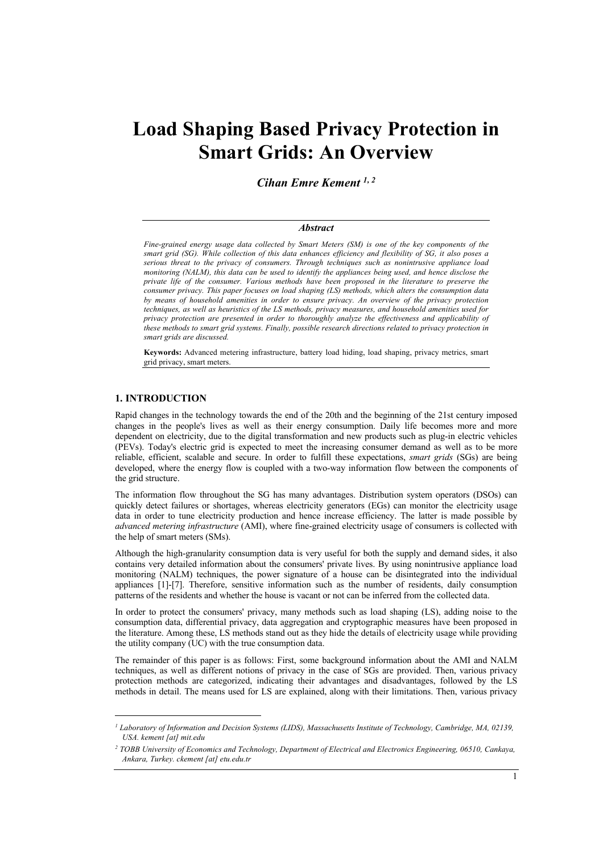# **Load Shaping Based Privacy Protection in Smart Grids: An Overview**

*Cihan Emre Kement 1, 2*

#### *Abstract*

*Fine-grained energy usage data collected by Smart Meters (SM) is one of the key components of the smart grid (SG). While collection of this data enhances efficiency and flexibility of SG, it also poses a serious threat to the privacy of consumers. Through techniques such as nonintrusive appliance load monitoring (NALM), this data can be used to identify the appliances being used, and hence disclose the private life of the consumer. Various methods have been proposed in the literature to preserve the consumer privacy. This paper focuses on load shaping (LS) methods, which alters the consumption data by means of household amenities in order to ensure privacy. An overview of the privacy protection techniques, as well as heuristics of the LS methods, privacy measures, and household amenities used for privacy protection are presented in order to thoroughly analyze the effectiveness and applicability of these methods to smart grid systems. Finally, possible research directions related to privacy protection in smart grids are discussed.*

**Keywords:** Advanced metering infrastructure, battery load hiding, load shaping, privacy metrics, smart grid privacy, smart meters.

## **1. INTRODUCTION**

Rapid changes in the technology towards the end of the 20th and the beginning of the 21st century imposed changes in the people's lives as well as their energy consumption. Daily life becomes more and more dependent on electricity, due to the digital transformation and new products such as plug-in electric vehicles (PEVs). Today's electric grid is expected to meet the increasing consumer demand as well as to be more reliable, efficient, scalable and secure. In order to fulfill these expectations, *smart grids* (SGs) are being developed, where the energy flow is coupled with a two-way information flow between the components of the grid structure.

The information flow throughout the SG has many advantages. Distribution system operators (DSOs) can quickly detect failures or shortages, whereas electricity generators (EGs) can monitor the electricity usage data in order to tune electricity production and hence increase efficiency. The latter is made possible by *advanced metering infrastructure* (AMI), where fine-grained electricity usage of consumers is collected with the help of smart meters (SMs).

Although the high-granularity consumption data is very useful for both the supply and demand sides, it also contains very detailed information about the consumers' private lives. By using nonintrusive appliance load monitoring (NALM) techniques, the power signature of a house can be disintegrated into the individual appliances [1]-[7]. Therefore, sensitive information such as the number of residents, daily consumption patterns of the residents and whether the house is vacant or not can be inferred from the collected data.

In order to protect the consumers' privacy, many methods such as load shaping (LS), adding noise to the consumption data, differential privacy, data aggregation and cryptographic measures have been proposed in the literature. Among these, LS methods stand out as they hide the details of electricity usage while providing the utility company (UC) with the true consumption data.

The remainder of this paper is as follows: First, some background information about the AMI and NALM techniques, as well as different notions of privacy in the case of SGs are provided. Then, various privacy protection methods are categorized, indicating their advantages and disadvantages, followed by the LS methods in detail. The means used for LS are explained, along with their limitations. Then, various privacy

*<sup>1</sup> Laboratory of Information and Decision Systems (LIDS), Massachusetts Institute of Technology, Cambridge, MA, 02139, USA. kement [at] mit.edu*

*<sup>2</sup> TOBB University of Economics and Technology, Department of Electrical and Electronics Engineering, 06510, Cankaya, Ankara, Turkey. ckement [at] etu.edu.tr*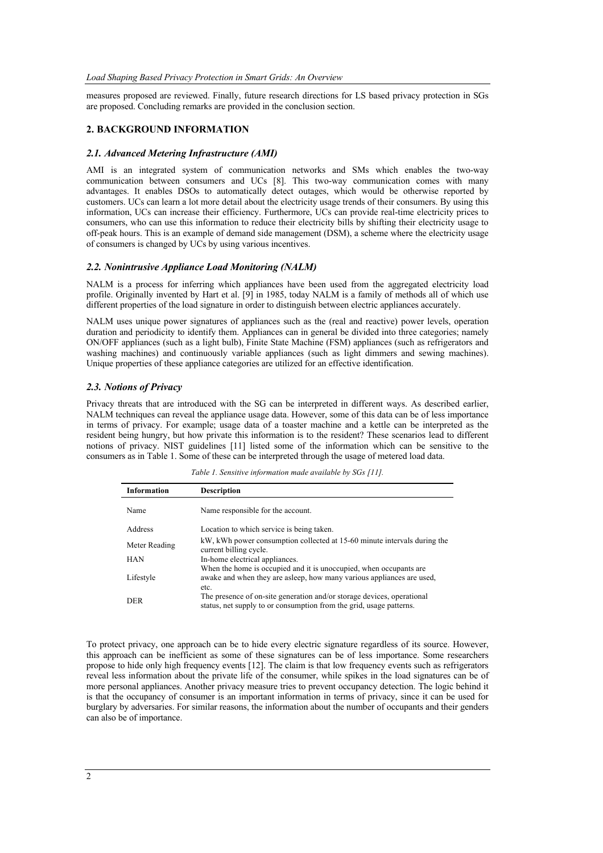measures proposed are reviewed. Finally, future research directions for LS based privacy protection in SGs are proposed. Concluding remarks are provided in the conclusion section.

## **2. BACKGROUND INFORMATION**

#### *2.1. Advanced Metering Infrastructure (AMI)*

AMI is an integrated system of communication networks and SMs which enables the two-way communication between consumers and UCs [8]. This two-way communication comes with many advantages. It enables DSOs to automatically detect outages, which would be otherwise reported by customers. UCs can learn a lot more detail about the electricity usage trends of their consumers. By using this information, UCs can increase their efficiency. Furthermore, UCs can provide real-time electricity prices to consumers, who can use this information to reduce their electricity bills by shifting their electricity usage to off-peak hours. This is an example of demand side management (DSM), a scheme where the electricity usage of consumers is changed by UCs by using various incentives.

#### *2.2. Nonintrusive Appliance Load Monitoring (NALM)*

NALM is a process for inferring which appliances have been used from the aggregated electricity load profile. Originally invented by Hart et al. [9] in 1985, today NALM is a family of methods all of which use different properties of the load signature in order to distinguish between electric appliances accurately.

NALM uses unique power signatures of appliances such as the (real and reactive) power levels, operation duration and periodicity to identify them. Appliances can in general be divided into three categories; namely ON/OFF appliances (such as a light bulb), Finite State Machine (FSM) appliances (such as refrigerators and washing machines) and continuously variable appliances (such as light dimmers and sewing machines). Unique properties of these appliance categories are utilized for an effective identification.

#### *2.3. Notions of Privacy*

Privacy threats that are introduced with the SG can be interpreted in different ways. As described earlier, NALM techniques can reveal the appliance usage data. However, some of this data can be of less importance in terms of privacy. For example; usage data of a toaster machine and a kettle can be interpreted as the resident being hungry, but how private this information is to the resident? These scenarios lead to different notions of privacy. NIST guidelines [11] listed some of the information which can be sensitive to the consumers as in Table 1. Some of these can be interpreted through the usage of metered load data.

*Table 1. Sensitive information made available by SGs [11].*

| Information   | <b>Description</b>                                                                                                                                    |
|---------------|-------------------------------------------------------------------------------------------------------------------------------------------------------|
| Name          | Name responsible for the account.                                                                                                                     |
| Address       | Location to which service is being taken.                                                                                                             |
| Meter Reading | kW, kWh power consumption collected at 15-60 minute intervals during the<br>current billing cycle.                                                    |
| <b>HAN</b>    | In-home electrical appliances.                                                                                                                        |
| Lifestyle     | When the home is occupied and it is unoccupied, when occupants are<br>awake and when they are asleep, how many various appliances are used,           |
| <b>DER</b>    | etc.<br>The presence of on-site generation and/or storage devices, operational<br>status, net supply to or consumption from the grid, usage patterns. |

To protect privacy, one approach can be to hide every electric signature regardless of its source. However, this approach can be inefficient as some of these signatures can be of less importance. Some researchers propose to hide only high frequency events [12]. The claim is that low frequency events such as refrigerators reveal less information about the private life of the consumer, while spikes in the load signatures can be of more personal appliances. Another privacy measure tries to prevent occupancy detection. The logic behind it is that the occupancy of consumer is an important information in terms of privacy, since it can be used for burglary by adversaries. For similar reasons, the information about the number of occupants and their genders can also be of importance.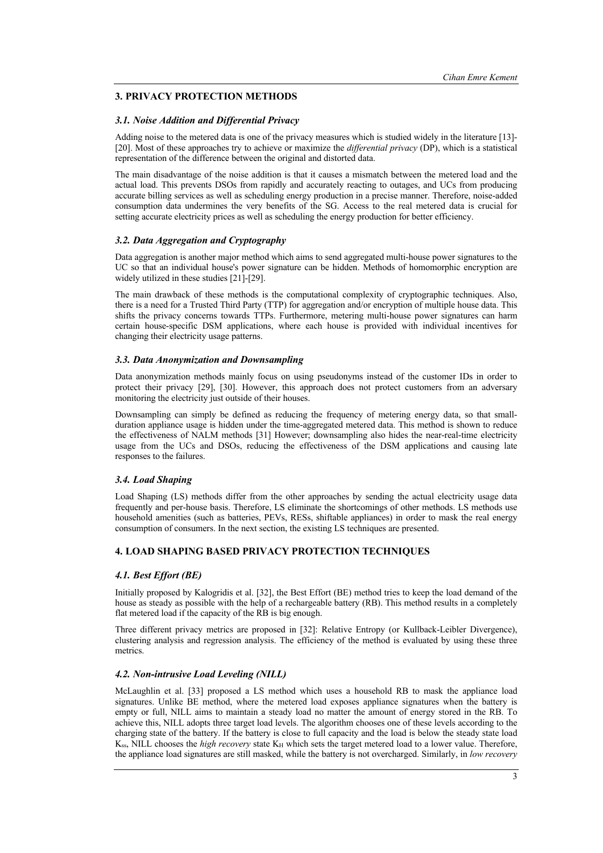# **3. PRIVACY PROTECTION METHODS**

## *3.1. Noise Addition and Differential Privacy*

Adding noise to the metered data is one of the privacy measures which is studied widely in the literature [13]- [20]. Most of these approaches try to achieve or maximize the *differential privacy* (DP), which is a statistical representation of the difference between the original and distorted data.

The main disadvantage of the noise addition is that it causes a mismatch between the metered load and the actual load. This prevents DSOs from rapidly and accurately reacting to outages, and UCs from producing accurate billing services as well as scheduling energy production in a precise manner. Therefore, noise-added consumption data undermines the very benefits of the SG. Access to the real metered data is crucial for setting accurate electricity prices as well as scheduling the energy production for better efficiency.

## *3.2. Data Aggregation and Cryptography*

Data aggregation is another major method which aims to send aggregated multi-house power signatures to the UC so that an individual house's power signature can be hidden. Methods of homomorphic encryption are widely utilized in these studies [21]-[29].

The main drawback of these methods is the computational complexity of cryptographic techniques. Also, there is a need for a Trusted Third Party (TTP) for aggregation and/or encryption of multiple house data. This shifts the privacy concerns towards TTPs. Furthermore, metering multi-house power signatures can harm certain house-specific DSM applications, where each house is provided with individual incentives for changing their electricity usage patterns.

## *3.3. Data Anonymization and Downsampling*

Data anonymization methods mainly focus on using pseudonyms instead of the customer IDs in order to protect their privacy [29], [30]. However, this approach does not protect customers from an adversary monitoring the electricity just outside of their houses.

Downsampling can simply be defined as reducing the frequency of metering energy data, so that smallduration appliance usage is hidden under the time-aggregated metered data. This method is shown to reduce the effectiveness of NALM methods [31] However; downsampling also hides the near-real-time electricity usage from the UCs and DSOs, reducing the effectiveness of the DSM applications and causing late responses to the failures.

## *3.4. Load Shaping*

Load Shaping (LS) methods differ from the other approaches by sending the actual electricity usage data frequently and per-house basis. Therefore, LS eliminate the shortcomings of other methods. LS methods use household amenities (such as batteries, PEVs, RESs, shiftable appliances) in order to mask the real energy consumption of consumers. In the next section, the existing LS techniques are presented.

## **4. LOAD SHAPING BASED PRIVACY PROTECTION TECHNIQUES**

## *4.1. Best Effort (BE)*

Initially proposed by Kalogridis et al. [32], the Best Effort (BE) method tries to keep the load demand of the house as steady as possible with the help of a rechargeable battery (RB). This method results in a completely flat metered load if the capacity of the RB is big enough.

Three different privacy metrics are proposed in [32]: Relative Entropy (or Kullback-Leibler Divergence), clustering analysis and regression analysis. The efficiency of the method is evaluated by using these three metrics.

## *4.2. Non-intrusive Load Leveling (NILL)*

McLaughlin et al. [33] proposed a LS method which uses a household RB to mask the appliance load signatures. Unlike BE method, where the metered load exposes appliance signatures when the battery is empty or full, NILL aims to maintain a steady load no matter the amount of energy stored in the RB. To achieve this, NILL adopts three target load levels. The algorithm chooses one of these levels according to the charging state of the battery. If the battery is close to full capacity and the load is below the steady state load K<sub>ss</sub>, NILL chooses the *high recovery* state K<sub>H</sub> which sets the target metered load to a lower value. Therefore, the appliance load signatures are still masked, while the battery is not overcharged. Similarly, in *low recovery*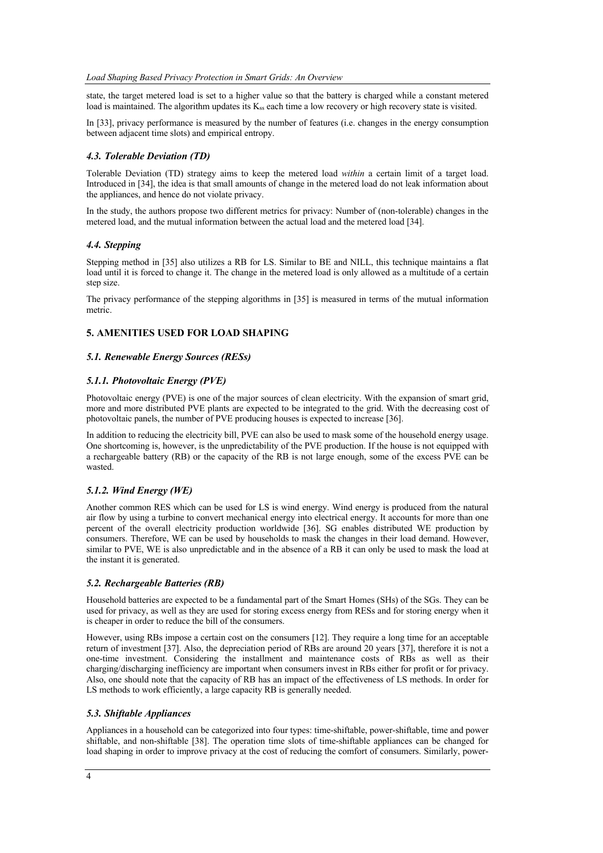state, the target metered load is set to a higher value so that the battery is charged while a constant metered load is maintained. The algorithm updates its  $K_{ss}$  each time a low recovery or high recovery state is visited.

In [33], privacy performance is measured by the number of features (i.e. changes in the energy consumption between adjacent time slots) and empirical entropy.

## *4.3. Tolerable Deviation (TD)*

Tolerable Deviation (TD) strategy aims to keep the metered load *within* a certain limit of a target load. Introduced in [34], the idea is that small amounts of change in the metered load do not leak information about the appliances, and hence do not violate privacy.

In the study, the authors propose two different metrics for privacy: Number of (non-tolerable) changes in the metered load, and the mutual information between the actual load and the metered load [34].

## *4.4. Stepping*

Stepping method in [35] also utilizes a RB for LS. Similar to BE and NILL, this technique maintains a flat load until it is forced to change it. The change in the metered load is only allowed as a multitude of a certain step size.

The privacy performance of the stepping algorithms in [35] is measured in terms of the mutual information metric.

## **5. AMENITIES USED FOR LOAD SHAPING**

## *5.1. Renewable Energy Sources (RESs)*

## *5.1.1. Photovoltaic Energy (PVE)*

Photovoltaic energy (PVE) is one of the major sources of clean electricity. With the expansion of smart grid, more and more distributed PVE plants are expected to be integrated to the grid. With the decreasing cost of photovoltaic panels, the number of PVE producing houses is expected to increase [36].

In addition to reducing the electricity bill, PVE can also be used to mask some of the household energy usage. One shortcoming is, however, is the unpredictability of the PVE production. If the house is not equipped with a rechargeable battery (RB) or the capacity of the RB is not large enough, some of the excess PVE can be wasted.

## *5.1.2. Wind Energy (WE)*

Another common RES which can be used for LS is wind energy. Wind energy is produced from the natural air flow by using a turbine to convert mechanical energy into electrical energy. It accounts for more than one percent of the overall electricity production worldwide [36]. SG enables distributed WE production by consumers. Therefore, WE can be used by households to mask the changes in their load demand. However, similar to PVE, WE is also unpredictable and in the absence of a RB it can only be used to mask the load at the instant it is generated.

## *5.2. Rechargeable Batteries (RB)*

Household batteries are expected to be a fundamental part of the Smart Homes (SHs) of the SGs. They can be used for privacy, as well as they are used for storing excess energy from RESs and for storing energy when it is cheaper in order to reduce the bill of the consumers.

However, using RBs impose a certain cost on the consumers [12]. They require a long time for an acceptable return of investment [37]. Also, the depreciation period of RBs are around 20 years [37], therefore it is not a one-time investment. Considering the installment and maintenance costs of RBs as well as their charging/discharging inefficiency are important when consumers invest in RBs either for profit or for privacy. Also, one should note that the capacity of RB has an impact of the effectiveness of LS methods. In order for LS methods to work efficiently, a large capacity RB is generally needed.

# *5.3. Shiftable Appliances*

Appliances in a household can be categorized into four types: time-shiftable, power-shiftable, time and power shiftable, and non-shiftable [38]. The operation time slots of time-shiftable appliances can be changed for load shaping in order to improve privacy at the cost of reducing the comfort of consumers. Similarly, power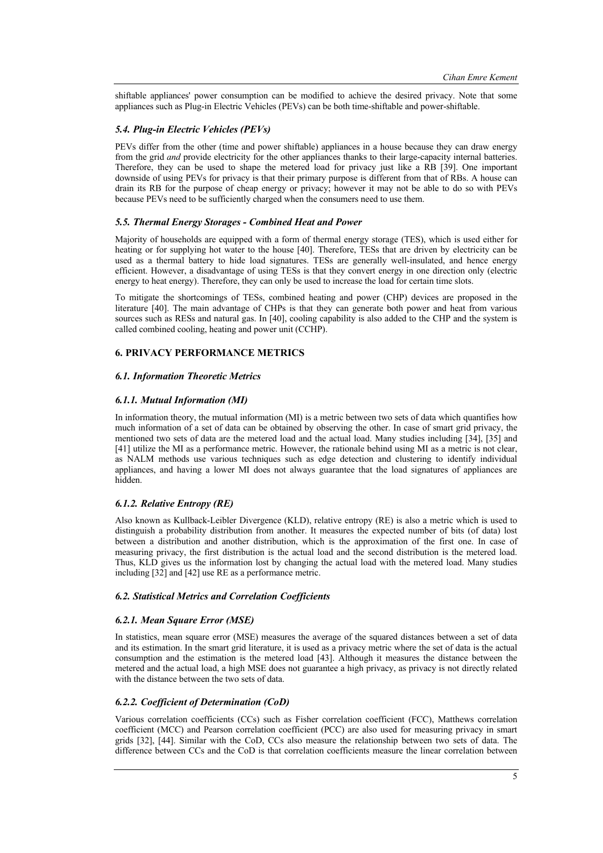shiftable appliances' power consumption can be modified to achieve the desired privacy. Note that some appliances such as Plug-in Electric Vehicles (PEVs) can be both time-shiftable and power-shiftable.

## *5.4. Plug-in Electric Vehicles (PEVs)*

PEVs differ from the other (time and power shiftable) appliances in a house because they can draw energy from the grid *and* provide electricity for the other appliances thanks to their large-capacity internal batteries. Therefore, they can be used to shape the metered load for privacy just like a RB [39]. One important downside of using PEVs for privacy is that their primary purpose is different from that of RBs. A house can drain its RB for the purpose of cheap energy or privacy; however it may not be able to do so with PEVs because PEVs need to be sufficiently charged when the consumers need to use them.

## *5.5. Thermal Energy Storages - Combined Heat and Power*

Majority of households are equipped with a form of thermal energy storage (TES), which is used either for heating or for supplying hot water to the house [40]. Therefore, TESs that are driven by electricity can be used as a thermal battery to hide load signatures. TESs are generally well-insulated, and hence energy efficient. However, a disadvantage of using TESs is that they convert energy in one direction only (electric energy to heat energy). Therefore, they can only be used to increase the load for certain time slots.

To mitigate the shortcomings of TESs, combined heating and power (CHP) devices are proposed in the literature [40]. The main advantage of CHPs is that they can generate both power and heat from various sources such as RESs and natural gas. In [40], cooling capability is also added to the CHP and the system is called combined cooling, heating and power unit (CCHP).

## **6. PRIVACY PERFORMANCE METRICS**

## *6.1. Information Theoretic Metrics*

#### *6.1.1. Mutual Information (MI)*

In information theory, the mutual information (MI) is a metric between two sets of data which quantifies how much information of a set of data can be obtained by observing the other. In case of smart grid privacy, the mentioned two sets of data are the metered load and the actual load. Many studies including [34], [35] and [41] utilize the MI as a performance metric. However, the rationale behind using MI as a metric is not clear, as NALM methods use various techniques such as edge detection and clustering to identify individual appliances, and having a lower MI does not always guarantee that the load signatures of appliances are hidden.

## *6.1.2. Relative Entropy (RE)*

Also known as Kullback-Leibler Divergence (KLD), relative entropy (RE) is also a metric which is used to distinguish a probability distribution from another. It measures the expected number of bits (of data) lost between a distribution and another distribution, which is the approximation of the first one. In case of measuring privacy, the first distribution is the actual load and the second distribution is the metered load. Thus, KLD gives us the information lost by changing the actual load with the metered load. Many studies including [32] and [42] use RE as a performance metric.

## *6.2. Statistical Metrics and Correlation Coefficients*

## *6.2.1. Mean Square Error (MSE)*

In statistics, mean square error (MSE) measures the average of the squared distances between a set of data and its estimation. In the smart grid literature, it is used as a privacy metric where the set of data is the actual consumption and the estimation is the metered load [43]. Although it measures the distance between the metered and the actual load, a high MSE does not guarantee a high privacy, as privacy is not directly related with the distance between the two sets of data.

## *6.2.2. Coefficient of Determination (CoD)*

Various correlation coefficients (CCs) such as Fisher correlation coefficient (FCC), Matthews correlation coefficient (MCC) and Pearson correlation coefficient (PCC) are also used for measuring privacy in smart grids [32], [44]. Similar with the CoD, CCs also measure the relationship between two sets of data. The difference between CCs and the CoD is that correlation coefficients measure the linear correlation between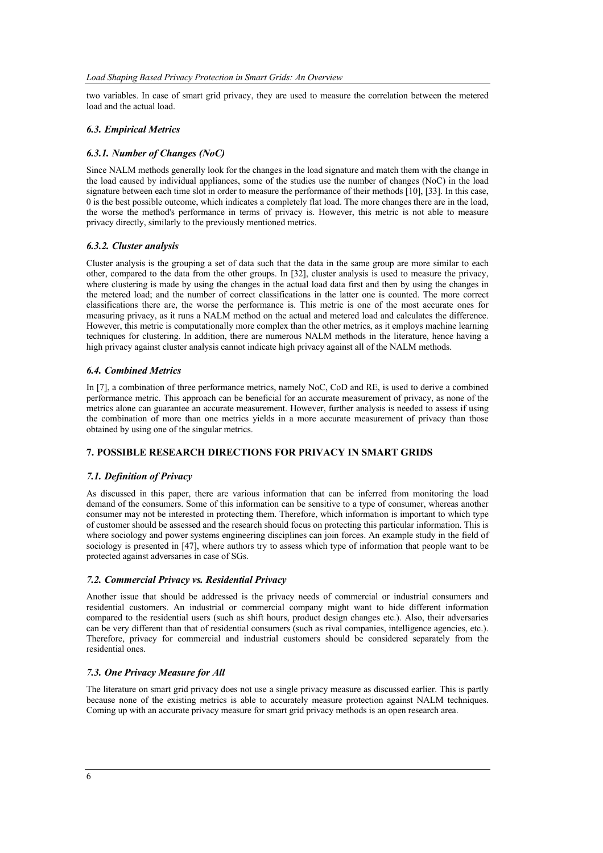two variables. In case of smart grid privacy, they are used to measure the correlation between the metered load and the actual load.

## *6.3. Empirical Metrics*

## *6.3.1. Number of Changes (NoC)*

Since NALM methods generally look for the changes in the load signature and match them with the change in the load caused by individual appliances, some of the studies use the number of changes (NoC) in the load signature between each time slot in order to measure the performance of their methods [10], [33]. In this case, 0 is the best possible outcome, which indicates a completely flat load. The more changes there are in the load, the worse the method's performance in terms of privacy is. However, this metric is not able to measure privacy directly, similarly to the previously mentioned metrics.

## *6.3.2. Cluster analysis*

Cluster analysis is the grouping a set of data such that the data in the same group are more similar to each other, compared to the data from the other groups. In [32], cluster analysis is used to measure the privacy, where clustering is made by using the changes in the actual load data first and then by using the changes in the metered load; and the number of correct classifications in the latter one is counted. The more correct classifications there are, the worse the performance is. This metric is one of the most accurate ones for measuring privacy, as it runs a NALM method on the actual and metered load and calculates the difference. However, this metric is computationally more complex than the other metrics, as it employs machine learning techniques for clustering. In addition, there are numerous NALM methods in the literature, hence having a high privacy against cluster analysis cannot indicate high privacy against all of the NALM methods.

## *6.4. Combined Metrics*

In [7], a combination of three performance metrics, namely NoC, CoD and RE, is used to derive a combined performance metric. This approach can be beneficial for an accurate measurement of privacy, as none of the metrics alone can guarantee an accurate measurement. However, further analysis is needed to assess if using the combination of more than one metrics yields in a more accurate measurement of privacy than those obtained by using one of the singular metrics.

## **7. POSSIBLE RESEARCH DIRECTIONS FOR PRIVACY IN SMART GRIDS**

## *7.1. Definition of Privacy*

As discussed in this paper, there are various information that can be inferred from monitoring the load demand of the consumers. Some of this information can be sensitive to a type of consumer, whereas another consumer may not be interested in protecting them. Therefore, which information is important to which type of customer should be assessed and the research should focus on protecting this particular information. This is where sociology and power systems engineering disciplines can join forces. An example study in the field of sociology is presented in [47], where authors try to assess which type of information that people want to be protected against adversaries in case of SGs.

## *7.2. Commercial Privacy vs. Residential Privacy*

Another issue that should be addressed is the privacy needs of commercial or industrial consumers and residential customers. An industrial or commercial company might want to hide different information compared to the residential users (such as shift hours, product design changes etc.). Also, their adversaries can be very different than that of residential consumers (such as rival companies, intelligence agencies, etc.). Therefore, privacy for commercial and industrial customers should be considered separately from the residential ones.

## *7.3. One Privacy Measure for All*

The literature on smart grid privacy does not use a single privacy measure as discussed earlier. This is partly because none of the existing metrics is able to accurately measure protection against NALM techniques. Coming up with an accurate privacy measure for smart grid privacy methods is an open research area.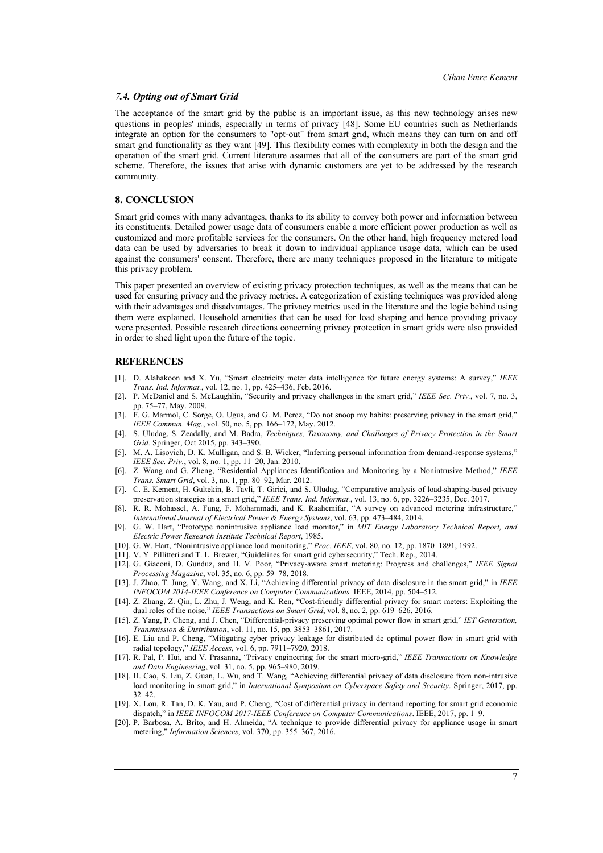#### *7.4. Opting out of Smart Grid*

The acceptance of the smart grid by the public is an important issue, as this new technology arises new questions in peoples' minds, especially in terms of privacy [48]. Some EU countries such as Netherlands integrate an option for the consumers to "opt-out" from smart grid, which means they can turn on and off smart grid functionality as they want [49]. This flexibility comes with complexity in both the design and the operation of the smart grid. Current literature assumes that all of the consumers are part of the smart grid scheme. Therefore, the issues that arise with dynamic customers are yet to be addressed by the research community.

# **8. CONCLUSION**

Smart grid comes with many advantages, thanks to its ability to convey both power and information between its constituents. Detailed power usage data of consumers enable a more efficient power production as well as customized and more profitable services for the consumers. On the other hand, high frequency metered load data can be used by adversaries to break it down to individual appliance usage data, which can be used against the consumers' consent. Therefore, there are many techniques proposed in the literature to mitigate this privacy problem.

This paper presented an overview of existing privacy protection techniques, as well as the means that can be used for ensuring privacy and the privacy metrics. A categorization of existing techniques was provided along with their advantages and disadvantages. The privacy metrics used in the literature and the logic behind using them were explained. Household amenities that can be used for load shaping and hence providing privacy were presented. Possible research directions concerning privacy protection in smart grids were also provided in order to shed light upon the future of the topic.

## **REFERENCES**

- [1]. D. Alahakoon and X. Yu, "Smart electricity meter data intelligence for future energy systems: A survey," *IEEE Trans. Ind. Informat.*, vol. 12, no. 1, pp. 425–436, Feb. 2016.
- [2]. P. McDaniel and S. McLaughlin, "Security and privacy challenges in the smart grid," *IEEE Sec. Priv.*, vol. 7, no. 3, pp. 75–77, May. 2009.
- [3]. F. G. Marmol, C. Sorge, O. Ugus, and G. M. Perez, "Do not snoop my habits: preserving privacy in the smart grid," *IEEE Commun. Mag.*, vol. 50, no. 5, pp. 166–172, May. 2012.
- [4]. S. Uludag, S. Zeadally, and M. Badra, *Techniques, Taxonomy, and Challenges of Privacy Protection in the Smart Grid.* Springer, Oct.2015, pp. 343–390.
- [5]. M. A. Lisovich, D. K. Mulligan, and S. B. Wicker, "Inferring personal information from demand-response systems," *IEEE Sec. Priv.*, vol. 8, no. 1, pp. 11–20, Jan. 2010.
- [6]. Z. Wang and G. Zheng, "Residential Appliances Identification and Monitoring by a Nonintrusive Method," *IEEE Trans. Smart Grid*, vol. 3, no. 1, pp. 80–92, Mar. 2012.
- [7]. C. E. Kement, H. Gultekin, B. Tavli, T. Girici, and S. Uludag, "Comparative analysis of load-shaping-based privacy preservation strategies in a smart grid," *IEEE Trans. Ind. Informat.*, vol. 13, no. 6, pp. 3226–3235, Dec. 2017.
- [8]. R. R. Mohassel, A. Fung, F. Mohammadi, and K. Raahemifar, "A survey on advanced metering infrastructure," *International Journal of Electrical Power & Energy Systems*, vol. 63, pp. 473–484, 2014.
- [9]. G. W. Hart, "Prototype nonintrusive appliance load monitor," in *MIT Energy Laboratory Technical Report, and Electric Power Research Institute Technical Report*, 1985.
- [10]. G. W. Hart, "Nonintrusive appliance load monitoring," *Proc. IEEE*, vol. 80, no. 12, pp. 1870–1891, 1992.
- [11]. V. Y. Pillitteri and T. L. Brewer, "Guidelines for smart grid cybersecurity," Tech. Rep., 2014.
- [12]. G. Giaconi, D. Gunduz, and H. V. Poor, "Privacy-aware smart metering: Progress and challenges," *IEEE Signal Processing Magazine*, vol. 35, no. 6, pp. 59–78, 2018.
- [13]. J. Zhao, T. Jung, Y. Wang, and X. Li, "Achieving differential privacy of data disclosure in the smart grid," in *IEEE INFOCOM 2014-IEEE Conference on Computer Communications.* IEEE, 2014, pp. 504–512.
- [14]. Z. Zhang, Z. Qin, L. Zhu, J. Weng, and K. Ren, "Cost-friendly differential privacy for smart meters: Exploiting the dual roles of the noise," *IEEE Transactions on Smart Grid*, vol. 8, no. 2, pp. 619–626, 2016.
- [15]. Z. Yang, P. Cheng, and J. Chen, "Differential-privacy preserving optimal power flow in smart grid," *IET Generation, Transmission & Distribution*, vol. 11, no. 15, pp. 3853–3861, 2017.
- [16]. E. Liu and P. Cheng, "Mitigating cyber privacy leakage for distributed dc optimal power flow in smart grid with radial topology," *IEEE Access*, vol. 6, pp. 7911–7920, 2018.
- [17]. R. Pal, P. Hui, and V. Prasanna, "Privacy engineering for the smart micro-grid," *IEEE Transactions on Knowledge and Data Engineering*, vol. 31, no. 5, pp. 965–980, 2019.
- [18]. H. Cao, S. Liu, Z. Guan, L. Wu, and T. Wang, "Achieving differential privacy of data disclosure from non-intrusive load monitoring in smart grid," in *International Symposium on Cyberspace Safety and Security*. Springer, 2017, pp. 32–42.
- [19]. X. Lou, R. Tan, D. K. Yau, and P. Cheng, "Cost of differential privacy in demand reporting for smart grid economic dispatch," in *IEEE INFOCOM 2017-IEEE Conference on Computer Communications*. IEEE, 2017, pp. 1–9.
- [20]. P. Barbosa, A. Brito, and H. Almeida, "A technique to provide differential privacy for appliance usage in smart metering," *Information Sciences*, vol. 370, pp. 355–367, 2016.